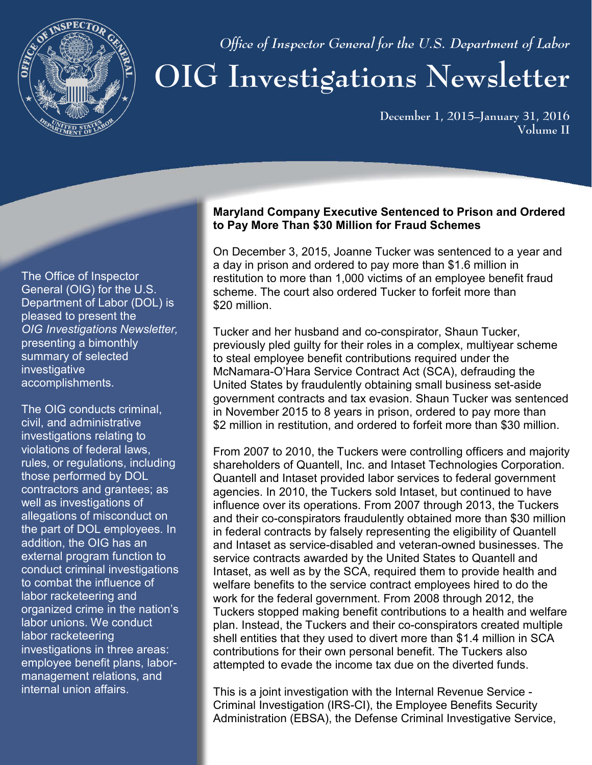

 *Office of Inspector General for the U.S. Department of Labor*

# **OIG Investigations Newsletter**

**December 1, 2015–January 31, 2016 Volume II**

The Office of Inspector General (OIG) for the U.S. Department of Labor (DOL) is pleased to present the *OIG Investigations Newsletter,* presenting a bimonthly summary of selected investigative accomplishments.

The OIG conducts criminal, civil, and administrative investigations relating to violations of federal laws, rules, or regulations, including those performed by DOL contractors and grantees; as well as investigations of allegations of misconduct on the part of DOL employees. In addition, the OIG has an external program function to conduct criminal investigations to combat the influence of labor racketeering and organized crime in the nation's labor unions. We conduct labor racketeering investigations in three areas: employee benefit plans, labormanagement relations, and internal union affairs.

#### **Maryland Company Executive Sentenced to Prison and Ordered to Pay More Than \$30 Million for Fraud Schemes**

On December 3, 2015, Joanne Tucker was sentenced to a year and a day in prison and ordered to pay more than \$1.6 million in restitution to more than 1,000 victims of an employee benefit fraud scheme. The court also ordered Tucker to forfeit more than \$20 million.

Tucker and her husband and co-conspirator, Shaun Tucker, previously pled guilty for their roles in a complex, multiyear scheme to steal employee benefit contributions required under the McNamara-O'Hara Service Contract Act (SCA), defrauding the United States by fraudulently obtaining small business set-aside government contracts and tax evasion. Shaun Tucker was sentenced in November 2015 to 8 years in prison, ordered to pay more than \$2 million in restitution, and ordered to forfeit more than \$30 million.

From 2007 to 2010, the Tuckers were controlling officers and majority shareholders of Quantell, Inc. and Intaset Technologies Corporation. Quantell and Intaset provided labor services to federal government agencies. In 2010, the Tuckers sold Intaset, but continued to have influence over its operations. From 2007 through 2013, the Tuckers and their co-conspirators fraudulently obtained more than \$30 million in federal contracts by falsely representing the eligibility of Quantell and Intaset as service-disabled and veteran-owned businesses. The service contracts awarded by the United States to Quantell and Intaset, as well as by the SCA, required them to provide health and welfare benefits to the service contract employees hired to do the work for the federal government. From 2008 through 2012, the Tuckers stopped making benefit contributions to a health and welfare plan. Instead, the Tuckers and their co-conspirators created multiple shell entities that they used to divert more than \$1.4 million in SCA contributions for their own personal benefit. The Tuckers also attempted to evade the income tax due on the diverted funds.

This is a joint investigation with the Internal Revenue Service - Criminal Investigation (IRS-CI), the Employee Benefits Security Administration (EBSA), the Defense Criminal Investigative Service,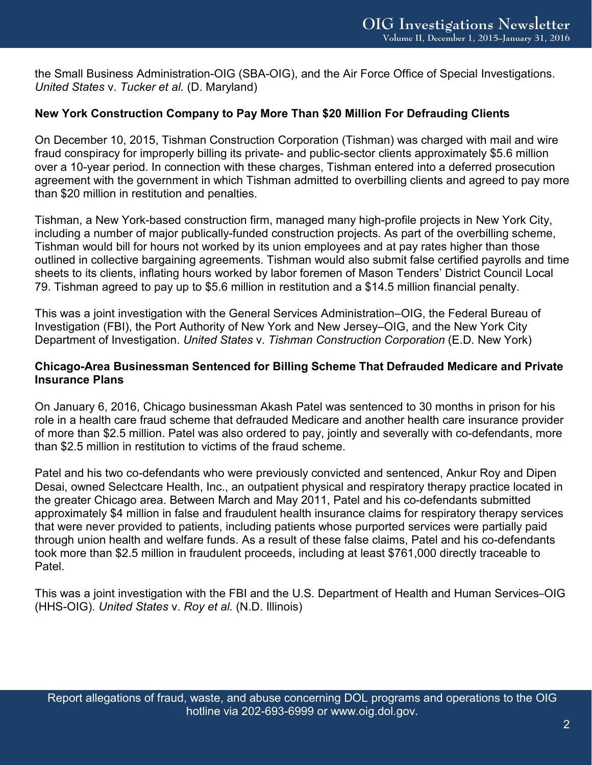the Small Business Administration-OIG (SBA-OIG), and the Air Force Office of Special Investigations. *United States* v. *Tucker et al.* (D. Maryland)

# **New York Construction Company to Pay More Than \$20 Million For Defrauding Clients**

On December 10, 2015, Tishman Construction Corporation (Tishman) was charged with mail and wire fraud conspiracy for improperly billing its private- and public-sector clients approximately \$5.6 million over a 10-year period. In connection with these charges, Tishman entered into a deferred prosecution agreement with the government in which Tishman admitted to overbilling clients and agreed to pay more than \$20 million in restitution and penalties.

Tishman, a New York-based construction firm, managed many high-profile projects in New York City, including a number of major publically-funded construction projects. As part of the overbilling scheme, Tishman would bill for hours not worked by its union employees and at pay rates higher than those outlined in collective bargaining agreements. Tishman would also submit false certified payrolls and time sheets to its clients, inflating hours worked by labor foremen of Mason Tenders' District Council Local 79. Tishman agreed to pay up to \$5.6 million in restitution and a \$14.5 million financial penalty.

This was a joint investigation with the General Services Administration–OIG, the Federal Bureau of Investigation (FBI), the Port Authority of New York and New Jersey–OIG, and the New York City Department of Investigation. *United States* v. *Tishman Construction Corporation* (E.D. New York)

#### **Chicago-Area Businessman Sentenced for Billing Scheme That Defrauded Medicare and Private Insurance Plans**

On January 6, 2016, Chicago businessman Akash Patel was sentenced to 30 months in prison for his role in a health care fraud scheme that defrauded Medicare and another health care insurance provider of more than \$2.5 million. Patel was also ordered to pay, jointly and severally with co-defendants, more than \$2.5 million in restitution to victims of the fraud scheme.

Patel and his two co-defendants who were previously convicted and sentenced, Ankur Roy and Dipen Desai, owned Selectcare Health, Inc., an outpatient physical and respiratory therapy practice located in the greater Chicago area. Between March and May 2011, Patel and his co-defendants submitted approximately \$4 million in false and fraudulent health insurance claims for respiratory therapy services that were never provided to patients, including patients whose purported services were partially paid through union health and welfare funds. As a result of these false claims, Patel and his co-defendants took more than \$2.5 million in fraudulent proceeds, including at least \$761,000 directly traceable to **Patel** 

This was a joint investigation with the FBI and the U.S. Department of Health and Human Services–OIG (HHS-OIG). *United States* v. *Roy et al.* (N.D. Illinois)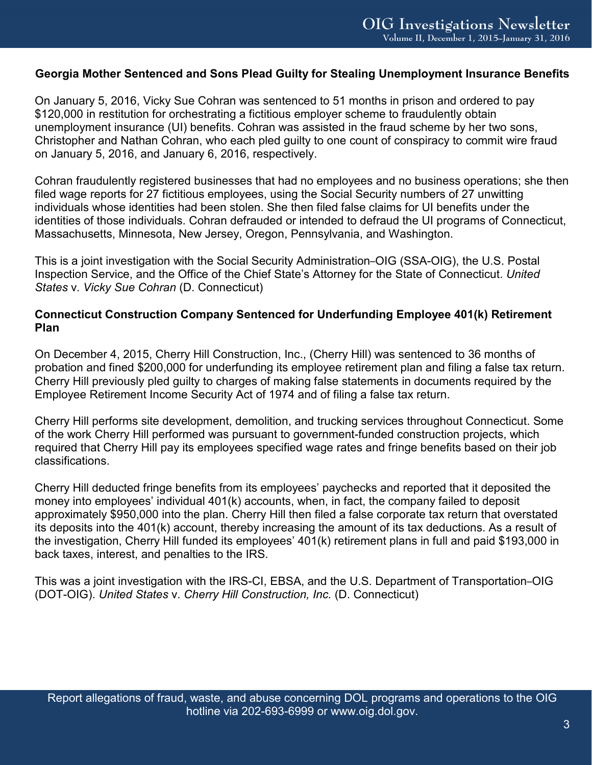### **Georgia Mother Sentenced and Sons Plead Guilty for Stealing Unemployment Insurance Benefits**

On January 5, 2016, Vicky Sue Cohran was sentenced to 51 months in prison and ordered to pay \$120,000 in restitution for orchestrating a fictitious employer scheme to fraudulently obtain unemployment insurance (UI) benefits. Cohran was assisted in the fraud scheme by her two sons, Christopher and Nathan Cohran, who each pled guilty to one count of conspiracy to commit wire fraud on January 5, 2016, and January 6, 2016, respectively.

Cohran fraudulently registered businesses that had no employees and no business operations; she then filed wage reports for 27 fictitious employees, using the Social Security numbers of 27 unwitting individuals whose identities had been stolen. She then filed false claims for UI benefits under the identities of those individuals. Cohran defrauded or intended to defraud the UI programs of Connecticut, Massachusetts, Minnesota, New Jersey, Oregon, Pennsylvania, and Washington.

This is a joint investigation with the Social Security Administration–OIG (SSA-OIG), the U.S. Postal Inspection Service, and the Office of the Chief State's Attorney for the State of Connecticut. *United States* v. *Vicky Sue Cohran* (D. Connecticut)

## **Connecticut Construction Company Sentenced for Underfunding Employee 401(k) Retirement Plan**

On December 4, 2015, Cherry Hill Construction, Inc., (Cherry Hill) was sentenced to 36 months of probation and fined \$200,000 for underfunding its employee retirement plan and filing a false tax return. Cherry Hill previously pled guilty to charges of making false statements in documents required by the Employee Retirement Income Security Act of 1974 and of filing a false tax return.

Cherry Hill performs site development, demolition, and trucking services throughout Connecticut. Some of the work Cherry Hill performed was pursuant to government-funded construction projects, which required that Cherry Hill pay its employees specified wage rates and fringe benefits based on their job classifications.

Cherry Hill deducted fringe benefits from its employees' paychecks and reported that it deposited the money into employees' individual 401(k) accounts, when, in fact, the company failed to deposit approximately \$950,000 into the plan. Cherry Hill then filed a false corporate tax return that overstated its deposits into the 401(k) account, thereby increasing the amount of its tax deductions. As a result of the investigation, Cherry Hill funded its employees' 401(k) retirement plans in full and paid \$193,000 in back taxes, interest, and penalties to the IRS.

This was a joint investigation with the IRS-CI, EBSA, and the U.S. Department of Transportation–OIG (DOT-OIG). *United States* v. *Cherry Hill Construction, Inc.* (D. Connecticut)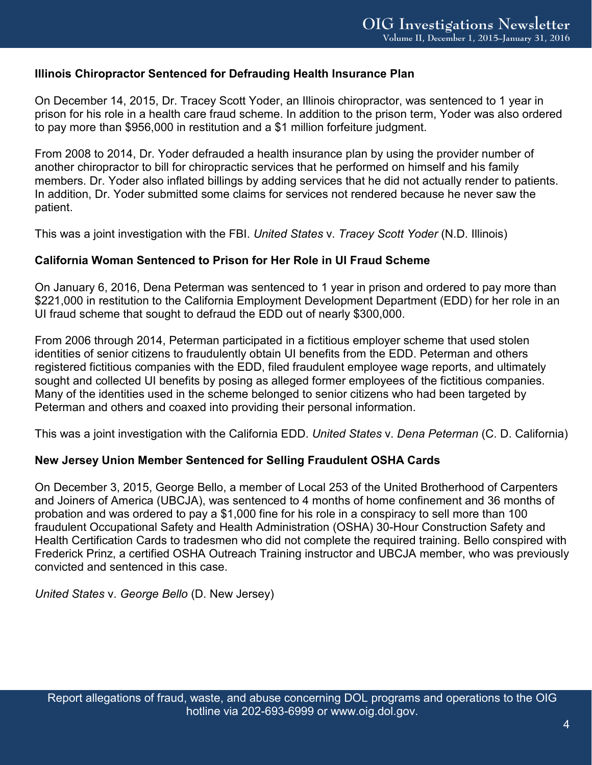## **Illinois Chiropractor Sentenced for Defrauding Health Insurance Plan**

On December 14, 2015, Dr. Tracey Scott Yoder, an Illinois chiropractor, was sentenced to 1 year in prison for his role in a health care fraud scheme. In addition to the prison term, Yoder was also ordered to pay more than \$956,000 in restitution and a \$1 million forfeiture judgment.

From 2008 to 2014, Dr. Yoder defrauded a health insurance plan by using the provider number of another chiropractor to bill for chiropractic services that he performed on himself and his family members. Dr. Yoder also inflated billings by adding services that he did not actually render to patients. In addition, Dr. Yoder submitted some claims for services not rendered because he never saw the patient.

This was a joint investigation with the FBI. *United States* v. *Tracey Scott Yoder* (N.D. Illinois)

#### **California Woman Sentenced to Prison for Her Role in UI Fraud Scheme**

On January 6, 2016, Dena Peterman was sentenced to 1 year in prison and ordered to pay more than \$221,000 in restitution to the California Employment Development Department (EDD) for her role in an UI fraud scheme that sought to defraud the EDD out of nearly \$300,000.

From 2006 through 2014, Peterman participated in a fictitious employer scheme that used stolen identities of senior citizens to fraudulently obtain UI benefits from the EDD. Peterman and others registered fictitious companies with the EDD, filed fraudulent employee wage reports, and ultimately sought and collected UI benefits by posing as alleged former employees of the fictitious companies. Many of the identities used in the scheme belonged to senior citizens who had been targeted by Peterman and others and coaxed into providing their personal information.

This was a joint investigation with the California EDD. *United States* v. *Dena Peterman* (C. D. California)

#### **New Jersey Union Member Sentenced for Selling Fraudulent OSHA Cards**

On December 3, 2015, George Bello, a member of Local 253 of the United Brotherhood of Carpenters and Joiners of America (UBCJA), was sentenced to 4 months of home confinement and 36 months of probation and was ordered to pay a \$1,000 fine for his role in a conspiracy to sell more than 100 fraudulent Occupational Safety and Health Administration (OSHA) 30-Hour Construction Safety and Health Certification Cards to tradesmen who did not complete the required training. Bello conspired with Frederick Prinz, a certified OSHA Outreach Training instructor and UBCJA member, who was previously convicted and sentenced in this case.

*United States* v. *George Bello* (D. New Jersey)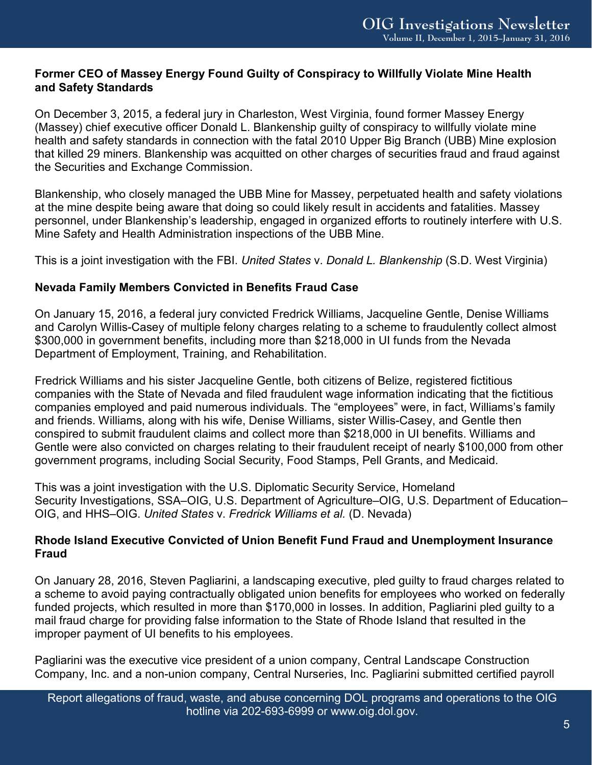# **Former CEO of Massey Energy Found Guilty of Conspiracy to Willfully Violate Mine Health and Safety Standards**

On December 3, 2015, a federal jury in Charleston, West Virginia, found former Massey Energy (Massey) chief executive officer Donald L. Blankenship guilty of conspiracy to willfully violate mine health and safety standards in connection with the fatal 2010 Upper Big Branch (UBB) Mine explosion that killed 29 miners. Blankenship was acquitted on other charges of securities fraud and fraud against the Securities and Exchange Commission.

Blankenship, who closely managed the UBB Mine for Massey, perpetuated health and safety violations at the mine despite being aware that doing so could likely result in accidents and fatalities. Massey personnel, under Blankenship's leadership, engaged in organized efforts to routinely interfere with U.S. Mine Safety and Health Administration inspections of the UBB Mine.

This is a joint investigation with the FBI. *United States* v. *Donald L. Blankenship* (S.D. West Virginia)

# **Nevada Family Members Convicted in Benefits Fraud Case**

On January 15, 2016, a federal jury convicted Fredrick Williams, Jacqueline Gentle, Denise Williams and Carolyn Willis-Casey of multiple felony charges relating to a scheme to fraudulently collect almost \$300,000 in government benefits, including more than \$218,000 in UI funds from the Nevada Department of Employment, Training, and Rehabilitation.

Fredrick Williams and his sister Jacqueline Gentle, both citizens of Belize, registered fictitious companies with the State of Nevada and filed fraudulent wage information indicating that the fictitious companies employed and paid numerous individuals. The "employees" were, in fact, Williams's family and friends. Williams, along with his wife, Denise Williams, sister Willis-Casey, and Gentle then conspired to submit fraudulent claims and collect more than \$218,000 in UI benefits. Williams and Gentle were also convicted on charges relating to their fraudulent receipt of nearly \$100,000 from other government programs, including Social Security, Food Stamps, Pell Grants, and Medicaid.

This was a joint investigation with the U.S. Diplomatic Security Service, Homeland Security Investigations, SSA–OIG, U.S. Department of Agriculture–OIG, U.S. Department of Education– OIG, and HHS–OIG. *United States* v. *Fredrick Williams et al.* (D. Nevada)

# **Rhode Island Executive Convicted of Union Benefit Fund Fraud and Unemployment Insurance Fraud**

On January 28, 2016, Steven Pagliarini, a landscaping executive, pled guilty to fraud charges related to a scheme to avoid paying contractually obligated union benefits for employees who worked on federally funded projects, which resulted in more than \$170,000 in losses. In addition, Pagliarini pled guilty to a mail fraud charge for providing false information to the State of Rhode Island that resulted in the improper payment of UI benefits to his employees.

Pagliarini was the executive vice president of a union company, Central Landscape Construction Company, Inc. and a non-union company, Central Nurseries, Inc. Pagliarini submitted certified payroll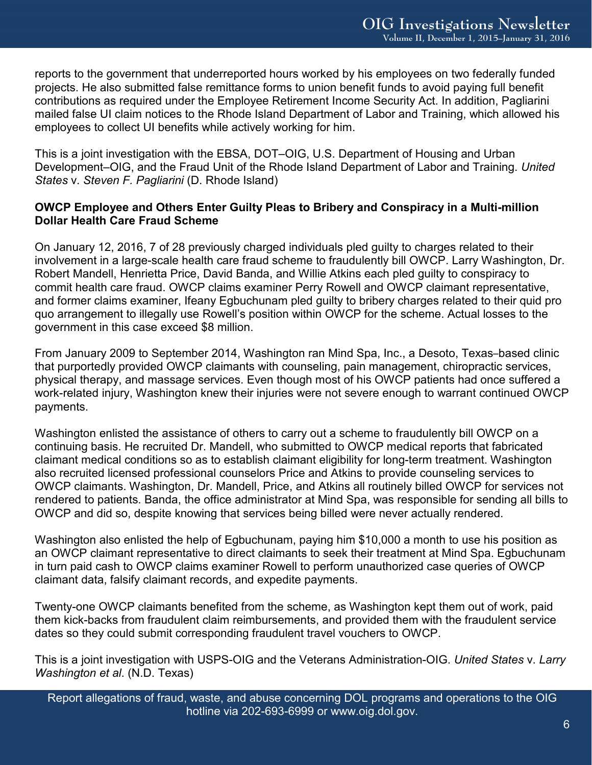reports to the government that underreported hours worked by his employees on two federally funded projects. He also submitted false remittance forms to union benefit funds to avoid paying full benefit contributions as required under the Employee Retirement Income Security Act. In addition, Pagliarini mailed false UI claim notices to the Rhode Island Department of Labor and Training, which allowed his employees to collect UI benefits while actively working for him.

This is a joint investigation with the EBSA, DOT–OIG, U.S. Department of Housing and Urban Development–OIG, and the Fraud Unit of the Rhode Island Department of Labor and Training. *United States* v. *Steven F. Pagliarini* (D. Rhode Island)

## **OWCP Employee and Others Enter Guilty Pleas to Bribery and Conspiracy in a Multi-million Dollar Health Care Fraud Scheme**

On January 12, 2016, 7 of 28 previously charged individuals pled guilty to charges related to their involvement in a large-scale health care fraud scheme to fraudulently bill OWCP. Larry Washington, Dr. Robert Mandell, Henrietta Price, David Banda, and Willie Atkins each pled guilty to conspiracy to commit health care fraud. OWCP claims examiner Perry Rowell and OWCP claimant representative, and former claims examiner, Ifeany Egbuchunam pled guilty to bribery charges related to their quid pro quo arrangement to illegally use Rowell's position within OWCP for the scheme. Actual losses to the government in this case exceed \$8 million.

From January 2009 to September 2014, Washington ran Mind Spa, Inc., a Desoto, Texas–based clinic that purportedly provided OWCP claimants with counseling, pain management, chiropractic services, physical therapy, and massage services. Even though most of his OWCP patients had once suffered a work-related injury, Washington knew their injuries were not severe enough to warrant continued OWCP payments.

Washington enlisted the assistance of others to carry out a scheme to fraudulently bill OWCP on a continuing basis. He recruited Dr. Mandell, who submitted to OWCP medical reports that fabricated claimant medical conditions so as to establish claimant eligibility for long-term treatment. Washington also recruited licensed professional counselors Price and Atkins to provide counseling services to OWCP claimants. Washington, Dr. Mandell, Price, and Atkins all routinely billed OWCP for services not rendered to patients. Banda, the office administrator at Mind Spa, was responsible for sending all bills to OWCP and did so, despite knowing that services being billed were never actually rendered.

Washington also enlisted the help of Egbuchunam, paying him \$10,000 a month to use his position as an OWCP claimant representative to direct claimants to seek their treatment at Mind Spa. Egbuchunam in turn paid cash to OWCP claims examiner Rowell to perform unauthorized case queries of OWCP claimant data, falsify claimant records, and expedite payments.

Twenty-one OWCP claimants benefited from the scheme, as Washington kept them out of work, paid them kick-backs from fraudulent claim reimbursements, and provided them with the fraudulent service dates so they could submit corresponding fraudulent travel vouchers to OWCP.

This is a joint investigation with USPS-OIG and the Veterans Administration-OIG. *United States* v. *Larry Washington et al*. (N.D. Texas)

Report allegations of fraud, waste, and abuse concerning DOL programs and operations to the OIG hotline via 202-693-6999 or [www.oig.dol.gov.](http://www.oig.dol.gov/)